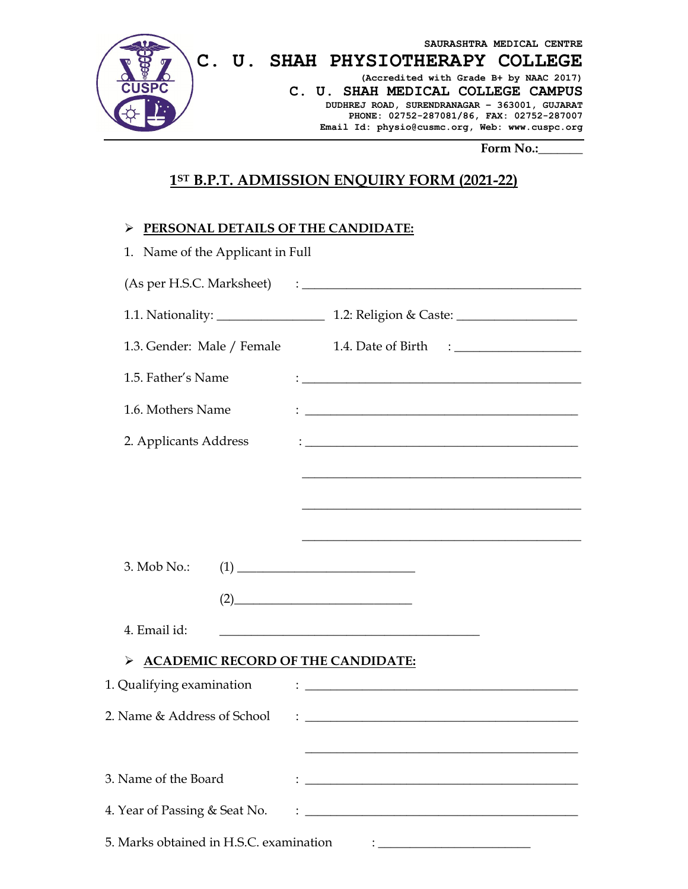

## **1ST B.P.T. ADMISSION ENQUIRY FORM (2021-22)**

## **PERSONAL DETAILS OF THE CANDIDATE:**

| 1. Name of the Applicant in Full              |                                                                                                                                                                                                                                                  |  |
|-----------------------------------------------|--------------------------------------------------------------------------------------------------------------------------------------------------------------------------------------------------------------------------------------------------|--|
|                                               |                                                                                                                                                                                                                                                  |  |
|                                               | 1.1. Nationality: 1.2: Religion & Caste: 1.1. Nationality:                                                                                                                                                                                       |  |
|                                               | 1.3. Gender: Male / Female 1.4. Date of Birth : ________________________________                                                                                                                                                                 |  |
| 1.5. Father's Name                            |                                                                                                                                                                                                                                                  |  |
| 1.6. Mothers Name                             | $\colon \underline{\hspace{2cm}}$ . The contract of the contract of the contract of the contract of the contract of the contract of the contract of the contract of the contract of the contract of the contract of the contract of the contract |  |
| 2. Applicants Address                         | <u> 1989 - Johann Harry Harry Harry Harry Harry Harry Harry Harry Harry Harry Harry Harry Harry Harry Harry Harry</u>                                                                                                                            |  |
|                                               |                                                                                                                                                                                                                                                  |  |
|                                               |                                                                                                                                                                                                                                                  |  |
|                                               |                                                                                                                                                                                                                                                  |  |
| 3. Mob No.:                                   | $(1) \qquad \qquad \overbrace{\qquad \qquad }$                                                                                                                                                                                                   |  |
|                                               | (2)                                                                                                                                                                                                                                              |  |
| 4. Email id:                                  | <u> 1980 - Jan James James James James James James James James James James James James James James James James J</u>                                                                                                                             |  |
| <b>ACADEMIC RECORD OF THE CANDIDATE:</b><br>➤ |                                                                                                                                                                                                                                                  |  |
| 1. Qualifying examination                     | $\mathbf{1}_{\mathbf{2}_{\mathbf{3}_{\mathbf{4}}}\left( \mathbf{1}_{\mathbf{3}_{\mathbf{5}}}\right) }$ , and the contract of the contract of $\mathbf{1}_{\mathbf{3}_{\mathbf{4}}}\left( \mathbf{1}_{\mathbf{3}_{\mathbf{5}}}\right)$            |  |
| 2. Name & Address of School                   | <u> : Communication (Communication (Communication)</u>                                                                                                                                                                                           |  |
|                                               |                                                                                                                                                                                                                                                  |  |
| 3. Name of the Board                          | <u> 1989 - Johann Barn, fransk politik amerikansk politik (d. 1989)</u>                                                                                                                                                                          |  |
| 4. Year of Passing & Seat No.                 | <u> 2000 - Jan Samuel Barbara, martin da shekarar 1980 - Andrew Samuel Barbara, mashrida</u>                                                                                                                                                     |  |
| 5. Marks obtained in H.S.C. examination       |                                                                                                                                                                                                                                                  |  |